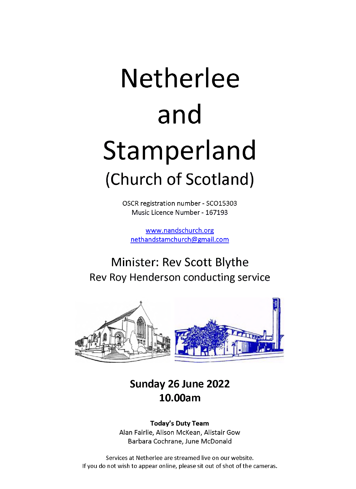# Netherlee and Stamperland (Church of Scotland)

OSCR registration number - SC015303 Music Licence Number - 167193

[www.nandschurch.org](http://www.nandschurch.org) nethandstamchurch(5)gmail.com

## Minister: Rev Scott Blythe Rev Roy Henderson conducting service



### **Sunday 26 June 2022 10.00am**

#### **Today's Duty Team** Alan Fairlie, Alison McKean, Alistair Gow Barbara Cochrane, June McDonald

Services at Netherlee are streamed live on our website. If you do not wish to appear online, please sit out of shot of the cameras.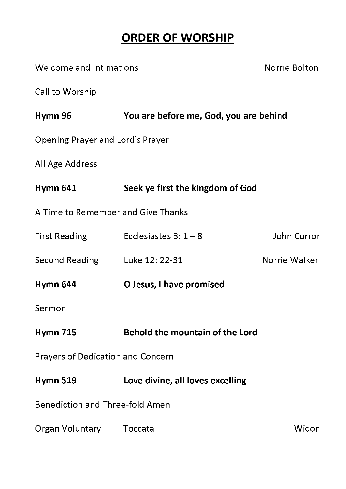## **ORDER OF WORSHIP**

| Welcome and Intimations                  |                                        | Norrie Bolton |
|------------------------------------------|----------------------------------------|---------------|
| Call to Worship                          |                                        |               |
| Hymn 96                                  | You are before me, God, you are behind |               |
| Opening Prayer and Lord's Prayer         |                                        |               |
| All Age Address                          |                                        |               |
| <b>Hymn 641</b>                          | Seek ye first the kingdom of God       |               |
| A Time to Remember and Give Thanks       |                                        |               |
|                                          | First Reading Ecclesiastes $3: 1-8$    | John Curror   |
| Second Reading Luke 12: 22-31            |                                        | Norrie Walker |
| Hymn 644                                 | O Jesus, I have promised               |               |
| Sermon                                   |                                        |               |
| <b>Hymn 715</b>                          | Behold the mountain of the Lord        |               |
| <b>Prayers of Dedication and Concern</b> |                                        |               |
| <b>Hymn 519</b>                          | Love divine, all loves excelling       |               |
| <b>Benediction and Three-fold Amen</b>   |                                        |               |
| Organ Voluntary Toccata                  |                                        | Widor         |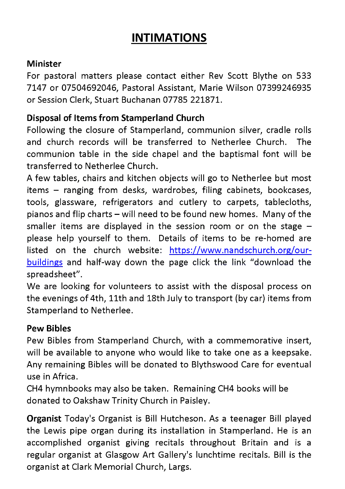## **INTIMATIONS**

#### **Minister**

For pastoral matters please contact either Rev Scott Blythe on 533 7147 or 07504692046, Pastoral Assistant, Marie Wilson 07399246935 or Session Clerk, Stuart Buchanan 07785 221871.

#### **Disposal of Items from Stamperland Church**

Following the closure of Stamperland, communion silver, cradle rolls and church records will be transferred to Netherlee Church. The communion table in the side chapel and the baptismal font will be transferred to Netherlee Church.

A few tables, chairs and kitchen objects will go to Netherlee but most items - ranging from desks, wardrobes, filing cabinets, bookcases, tools, glassware, refrigerators and cutlery to carpets, tablecloths, pianos and flip charts - will need to be found new homes. Many of the smaller items are displayed in the session room or on the stage  $$ please help yourself to them. Details of items to be re-homed are listed on the church website: [https://www.nandschurch.org/our](https://www.nandschurch.org/our-buildings)[buildings](https://www.nandschurch.org/our-buildings) and half-way down the page click the link "download the spreadsheet".

We are looking for volunteers to assist with the disposal process on the evenings of 4th, 11th and 18th July to transport (by car) items from Stamperland to Netherlee.

#### **Pew Bibles**

Pew Bibles from Stamperland Church, with a commemorative insert, will be available to anyone who would like to take one as a keepsake. Any remaining Bibles will be donated to Blythswood Care for eventual use in Africa.

CH4 hymnbooks may also be taken. Remaining CH4 books will be donated to Oakshaw Trinity Church in Paisley.

**Organist** Today's Organist is Bill Hutcheson. As a teenager Bill played the Lewis pipe organ during its installation in Stamperland. He is an accomplished organist giving recitals throughout Britain and is a regular organist at Glasgow Art Gallery's lunchtime recitals. Bill is the organist at Clark Memorial Church, Largs.